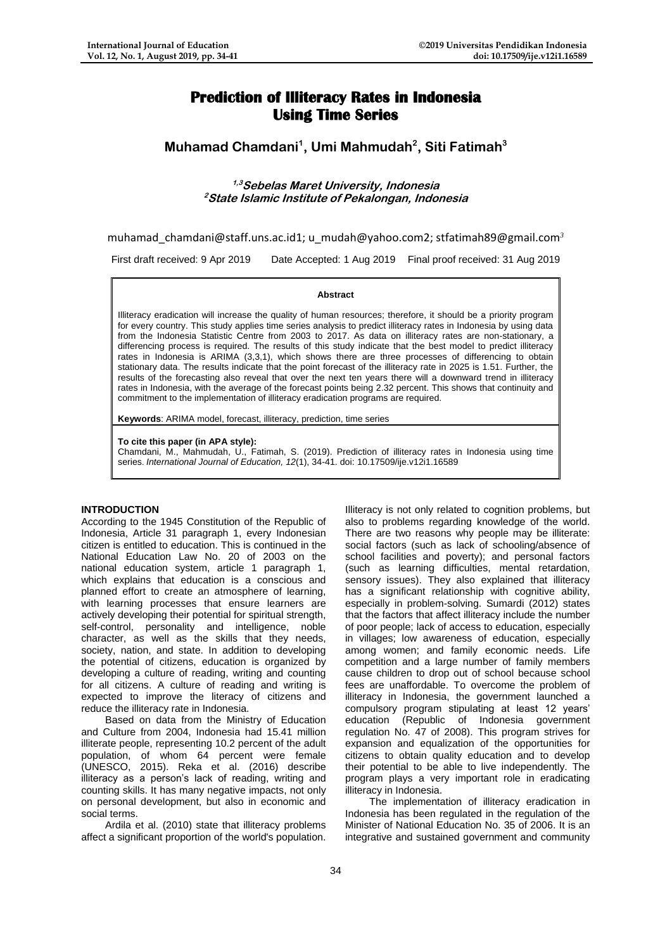# **Prediction of Illiteracy Rates in Indonesia Using Time Series**

**Muhamad Chamdani<sup>1</sup> , Umi Mahmudah<sup>2</sup> , Siti Fatimah<sup>3</sup>**

**1,3Sebelas Maret University, Indonesia <sup>2</sup>State Islamic Institute of Pekalongan, Indonesia**

muhamad chamdani@staff.uns.ac.id1; [u\\_mudah@yahoo.com2;](mailto:u_mudah@yahoo.com2) [stfatimah89@gmail.com](mailto:stfatimah89@gmail.com)<sup>3</sup>

First draft received: 9 Apr 2019 Date Accepted: 1 Aug 2019 Final proof received: 31 Aug 2019

#### **Abstract**

Illiteracy eradication will increase the quality of human resources; therefore, it should be a priority program for every country. This study applies time series analysis to predict illiteracy rates in Indonesia by using data from the Indonesia Statistic Centre from 2003 to 2017. As data on illiteracy rates are non-stationary, a differencing process is required. The results of this study indicate that the best model to predict illiteracy rates in Indonesia is ARIMA (3,3,1), which shows there are three processes of differencing to obtain stationary data. The results indicate that the point forecast of the illiteracy rate in 2025 is 1.51. Further, the results of the forecasting also reveal that over the next ten years there will a downward trend in illiteracy rates in Indonesia, with the average of the forecast points being 2.32 percent. This shows that continuity and commitment to the implementation of illiteracy eradication programs are required.

**Keywords**: ARIMA model, forecast, illiteracy, prediction, time series

#### **To cite this paper (in APA style):**

Chamdani, M., Mahmudah, U., Fatimah, S. (2019). Prediction of illiteracy rates in Indonesia using time series. *International Journal of Education, 12*(1), 34-41. doi: 10.17509/ije.v12i1.16589

#### **INTRODUCTION**

According to the 1945 Constitution of the Republic of Indonesia, Article 31 paragraph 1, every Indonesian citizen is entitled to education. This is continued in the National Education Law No. 20 of 2003 on the national education system, article 1 paragraph 1, which explains that education is a conscious and planned effort to create an atmosphere of learning, with learning processes that ensure learners are actively developing their potential for spiritual strength, self-control, personality and intelligence, noble character, as well as the skills that they needs, society, nation, and state. In addition to developing the potential of citizens, education is organized by developing a culture of reading, writing and counting for all citizens. A culture of reading and writing is expected to improve the literacy of citizens and reduce the illiteracy rate in Indonesia.

Based on data from the Ministry of Education and Culture from 2004, Indonesia had 15.41 million illiterate people, representing 10.2 percent of the adult population, of whom 64 percent were female (UNESCO, 2015). Reka et al. (2016) describe illiteracy as a person's lack of reading, writing and counting skills. It has many negative impacts, not only on personal development, but also in economic and social terms.

Ardila et al. (2010) state that illiteracy problems affect a significant proportion of the world's population.

Illiteracy is not only related to cognition problems, but also to problems regarding knowledge of the world. There are two reasons why people may be illiterate: social factors (such as lack of schooling/absence of school facilities and poverty); and personal factors (such as learning difficulties, mental retardation, sensory issues). They also explained that illiteracy has a significant relationship with cognitive ability, especially in problem-solving. Sumardi (2012) states that the factors that affect illiteracy include the number of poor people; lack of access to education, especially in villages; low awareness of education, especially among women; and family economic needs. Life competition and a large number of family members cause children to drop out of school because school fees are unaffordable. To overcome the problem of illiteracy in Indonesia, the government launched a compulsory program stipulating at least 12 years' education (Republic of Indonesia government regulation No. 47 of 2008). This program strives for expansion and equalization of the opportunities for citizens to obtain quality education and to develop their potential to be able to live independently. The program plays a very important role in eradicating illiteracy in Indonesia.

The implementation of illiteracy eradication in Indonesia has been regulated in the regulation of the Minister of National Education No. 35 of 2006. It is an integrative and sustained government and community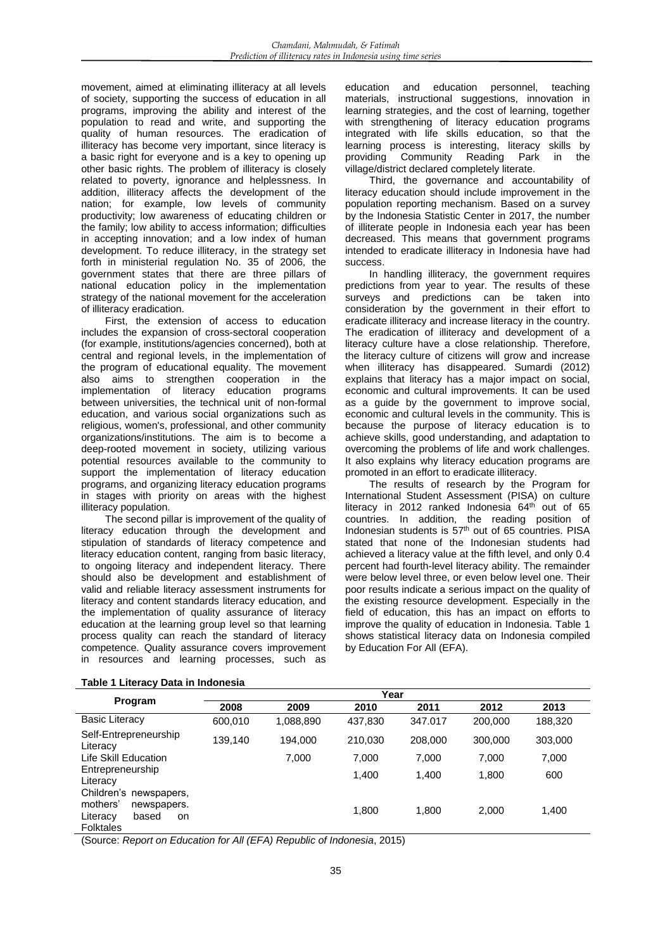movement, aimed at eliminating illiteracy at all levels of society, supporting the success of education in all programs, improving the ability and interest of the population to read and write, and supporting the quality of human resources. The eradication of illiteracy has become very important, since literacy is a basic right for everyone and is a key to opening up other basic rights. The problem of illiteracy is closely related to poverty, ignorance and helplessness. In addition, illiteracy affects the development of the nation; for example, low levels of community productivity; low awareness of educating children or the family; low ability to access information; difficulties in accepting innovation; and a low index of human development. To reduce illiteracy, in the strategy set forth in ministerial regulation No. 35 of 2006, the government states that there are three pillars of national education policy in the implementation strategy of the national movement for the acceleration of illiteracy eradication.

First, the extension of access to education includes the expansion of cross-sectoral cooperation (for example, institutions/agencies concerned), both at central and regional levels, in the implementation of the program of educational equality. The movement also aims to strengthen cooperation in the implementation of literacy education programs between universities, the technical unit of non-formal education, and various social organizations such as religious, women's, professional, and other community organizations/institutions. The aim is to become a deep-rooted movement in society, utilizing various potential resources available to the community to support the implementation of literacy education programs, and organizing literacy education programs in stages with priority on areas with the highest illiteracy population.

The second pillar is improvement of the quality of literacy education through the development and stipulation of standards of literacy competence and literacy education content, ranging from basic literacy, to ongoing literacy and independent literacy. There should also be development and establishment of valid and reliable literacy assessment instruments for literacy and content standards literacy education, and the implementation of quality assurance of literacy education at the learning group level so that learning process quality can reach the standard of literacy competence. Quality assurance covers improvement in resources and learning processes, such as

education and education personnel, teaching materials, instructional suggestions, innovation in learning strategies, and the cost of learning, together with strengthening of literacy education programs integrated with life skills education, so that the learning process is interesting, literacy skills by providing Community Reading Park in the village/district declared completely literate.

Third, the governance and accountability of literacy education should include improvement in the population reporting mechanism. Based on a survey by the Indonesia Statistic Center in 2017, the number of illiterate people in Indonesia each year has been decreased. This means that government programs intended to eradicate illiteracy in Indonesia have had success.

In handling illiteracy, the government requires predictions from year to year. The results of these surveys and predictions can be taken into consideration by the government in their effort to eradicate illiteracy and increase literacy in the country. The eradication of illiteracy and development of a literacy culture have a close relationship. Therefore, the literacy culture of citizens will grow and increase when illiteracy has disappeared. Sumardi (2012) explains that literacy has a major impact on social, economic and cultural improvements. It can be used as a guide by the government to improve social, economic and cultural levels in the community. This is because the purpose of literacy education is to achieve skills, good understanding, and adaptation to overcoming the problems of life and work challenges. It also explains why literacy education programs are promoted in an effort to eradicate illiteracy.

The results of research by the Program for International Student Assessment (PISA) on culture literacy in 2012 ranked Indonesia  $64<sup>th</sup>$  out of  $65$ countries. In addition, the reading position of Indonesian students is  $57<sup>th</sup>$  out of 65 countries. PISA stated that none of the Indonesian students had achieved a literacy value at the fifth level, and only 0.4 percent had fourth-level literacy ability. The remainder were below level three, or even below level one. Their poor results indicate a serious impact on the quality of the existing resource development. Especially in the field of education, this has an impact on efforts to improve the quality of education in Indonesia. Table 1 shows statistical literacy data on Indonesia compiled by Education For All (EFA).

|                                                                                                  | Year    |           |         |         |         |         |  |
|--------------------------------------------------------------------------------------------------|---------|-----------|---------|---------|---------|---------|--|
| Program                                                                                          | 2008    | 2009      | 2010    | 2011    | 2012    | 2013    |  |
| <b>Basic Literacy</b>                                                                            | 600,010 | 1,088,890 | 437,830 | 347.017 | 200,000 | 188,320 |  |
| Self-Entrepreneurship<br>Literacy                                                                | 139,140 | 194.000   | 210.030 | 208,000 | 300,000 | 303,000 |  |
| Life Skill Education                                                                             |         | 7,000     | 7,000   | 7,000   | 7,000   | 7,000   |  |
| Entrepreneurship<br>Literacy                                                                     |         |           | 1,400   | 1,400   | 1,800   | 600     |  |
| Children's newspapers,<br>mothers'<br>newspapers.<br>Literacy<br>based<br>on<br><b>Folktales</b> |         |           | 1,800   | 1,800   | 2,000   | 1,400   |  |

### **Table 1 Literacy Data in Indonesia**

(Source: *Report on Education for All (EFA) Republic of Indonesia*, 2015)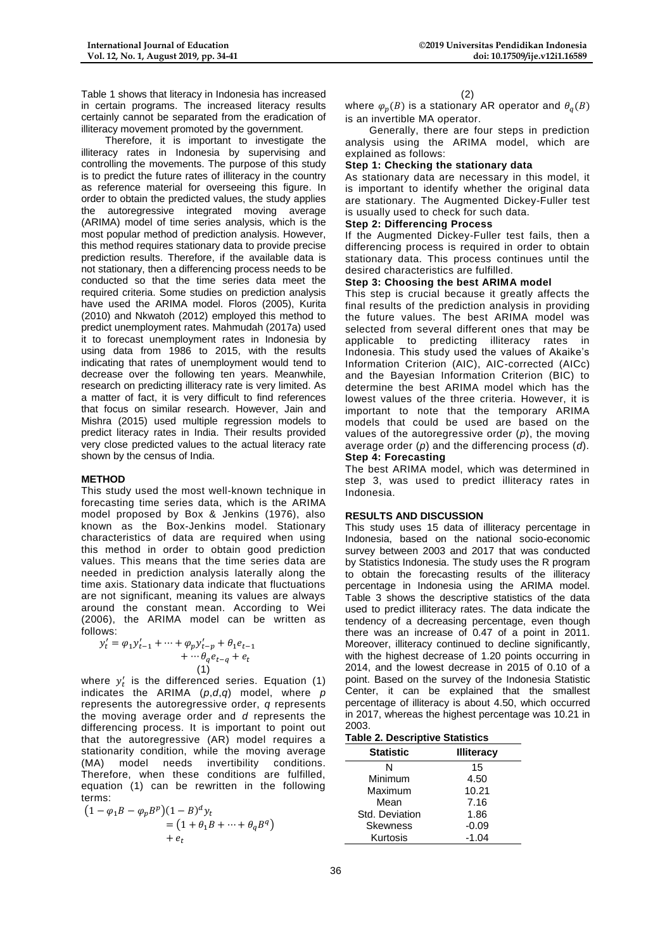Table 1 shows that literacy in Indonesia has increased in certain programs. The increased literacy results certainly cannot be separated from the eradication of illiteracy movement promoted by the government.

Therefore, it is important to investigate the illiteracy rates in Indonesia by supervising and controlling the movements. The purpose of this study is to predict the future rates of illiteracy in the country as reference material for overseeing this figure. In order to obtain the predicted values, the study applies the autoregressive integrated moving average (ARIMA) model of time series analysis, which is the most popular method of prediction analysis. However, this method requires stationary data to provide precise prediction results. Therefore, if the available data is not stationary, then a differencing process needs to be conducted so that the time series data meet the required criteria. Some studies on prediction analysis have used the ARIMA model. Floros (2005), Kurita (2010) and Nkwatoh (2012) employed this method to predict unemployment rates. Mahmudah (2017a) used it to forecast unemployment rates in Indonesia by using data from 1986 to 2015, with the results indicating that rates of unemployment would tend to decrease over the following ten years. Meanwhile, research on predicting illiteracy rate is very limited. As a matter of fact, it is very difficult to find references that focus on similar research. However, Jain and Mishra (2015) used multiple regression models to predict literacy rates in India. Their results provided very close predicted values to the actual literacy rate shown by the census of India.

#### **METHOD**

This study used the most well-known technique in forecasting time series data, which is the ARIMA model proposed by Box & Jenkins (1976), also known as the Box-Jenkins model. Stationary characteristics of data are required when using this method in order to obtain good prediction values. This means that the time series data are needed in prediction analysis laterally along the time axis. Stationary data indicate that fluctuations are not significant, meaning its values are always around the constant mean. According to Wei (2006), the ARIMA model can be written as follows:

$$
y'_{t} = \varphi_{1} y'_{t-1} + \dots + \varphi_{p} y'_{t-p} + \theta_{1} e_{t-1} + \dots + \theta_{q} e_{t-q} + e_{t}
$$
  
(1)

where  $y'_t$  is the differenced series. Equation (1) indicates the ARIMA (*p*,*d*,*q*) model, where *p* represents the autoregressive order, *q* represents the moving average order and *d* represents the differencing process. It is important to point out that the autoregressive (AR) model requires a stationarity condition, while the moving average (MA) model needs invertibility conditions. Therefore, when these conditions are fulfilled, equation (1) can be rewritten in the following terms:

$$
(1 - \varphi_1 B - \varphi_p B^p)(1 - B)^d y_t
$$
  
= (1 + \theta\_1 B + \dots + \theta\_q B^q)  
+ e\_t

where  $\varphi_p(B)$  is a stationary AR operator and  $\theta_q(B)$ is an invertible MA operator.

Generally, there are four steps in prediction analysis using the ARIMA model, which are explained as follows:

#### **Step 1: Checking the stationary data**

As stationary data are necessary in this model, it is important to identify whether the original data are stationary. The Augmented Dickey-Fuller test is usually used to check for such data.

#### **Step 2: Differencing Process**

If the Augmented Dickey-Fuller test fails, then a differencing process is required in order to obtain stationary data. This process continues until the desired characteristics are fulfilled.

#### **Step 3: Choosing the best ARIMA model**

This step is crucial because it greatly affects the final results of the prediction analysis in providing the future values. The best ARIMA model was selected from several different ones that may be applicable to predicting illiteracy rates in Indonesia. This study used the values of Akaike's Information Criterion (AIC), AIC-corrected (AICc) and the Bayesian Information Criterion (BIC) to determine the best ARIMA model which has the lowest values of the three criteria. However, it is important to note that the temporary ARIMA models that could be used are based on the values of the autoregressive order (*p*), the moving average order (*p*) and the differencing process (*d*). **Step 4: Forecasting** 

## The best ARIMA model, which was determined in step 3, was used to predict illiteracy rates in

#### **RESULTS AND DISCUSSION**

Indonesia.

This study uses 15 data of illiteracy percentage in Indonesia, based on the national socio-economic survey between 2003 and 2017 that was conducted by Statistics Indonesia. The study uses the R program to obtain the forecasting results of the illiteracy percentage in Indonesia using the ARIMA model. Table 3 shows the descriptive statistics of the data used to predict illiteracy rates. The data indicate the tendency of a decreasing percentage, even though there was an increase of 0.47 of a point in 2011. Moreover, illiteracy continued to decline significantly, with the highest decrease of 1.20 points occurring in 2014, and the lowest decrease in 2015 of 0.10 of a point. Based on the survey of the Indonesia Statistic Center, it can be explained that the smallest percentage of illiteracy is about 4.50, which occurred in 2017, whereas the highest percentage was 10.21 in 2003.

**Table 2. Descriptive Statistics**

| <b>Statistic</b> | <b>Illiteracy</b> |
|------------------|-------------------|
| N                | 15                |
| Minimum          | 4.50              |
| Maximum          | 10.21             |
| Mean             | 7.16              |
| Std. Deviation   | 1.86              |
| <b>Skewness</b>  | $-0.09$           |
| Kurtosis         | $-1.04$           |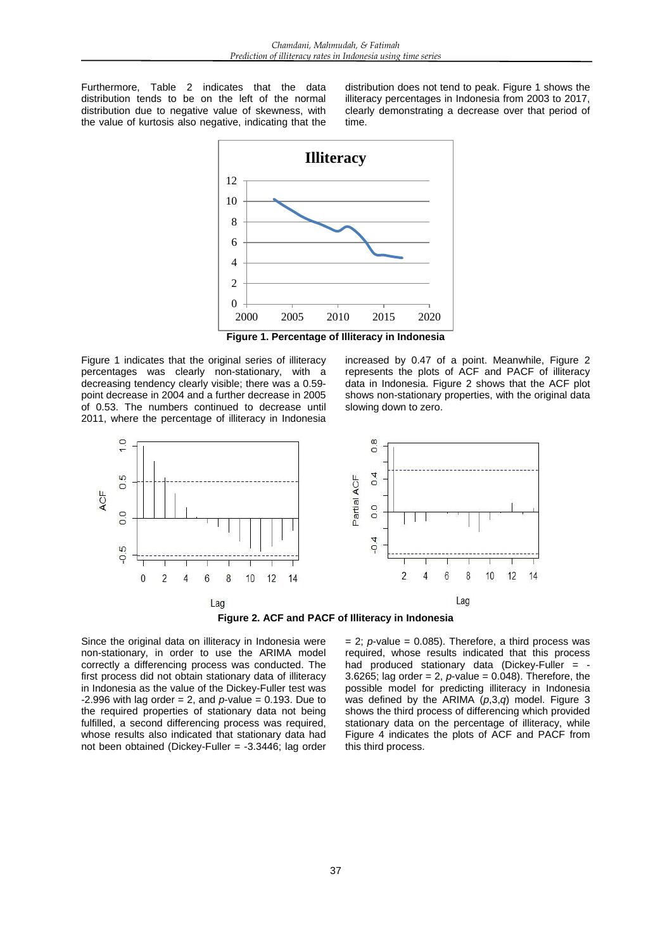Furthermore, Table 2 indicates that the data distribution tends to be on the left of the normal distribution due to negative value of skewness, with the value of kurtosis also negative, indicating that the distribution does not tend to peak. Figure 1 shows the illiteracy percentages in Indonesia from 2003 to 2017, clearly demonstrating a decrease over that period of time.



Figure 1 indicates that the original series of illiteracy percentages was clearly non-stationary, with a decreasing tendency clearly visible; there was a 0.59 point decrease in 2004 and a further decrease in 2005 of 0.53. The numbers continued to decrease until 2011, where the percentage of illiteracy in Indonesia

increased by 0.47 of a point. Meanwhile, Figure 2 represents the plots of ACF and PACF of illiteracy data in Indonesia. Figure 2 shows that the ACF plot shows non-stationary properties, with the original data slowing down to zero.



**Figure 2. ACF and PACF of Illiteracy in Indonesia**

Since the original data on illiteracy in Indonesia were non-stationary, in order to use the ARIMA model correctly a differencing process was conducted. The first process did not obtain stationary data of illiteracy in Indonesia as the value of the Dickey-Fuller test was  $-2.996$  with lag order = 2, and  $p$ -value = 0.193. Due to the required properties of stationary data not being fulfilled, a second differencing process was required, whose results also indicated that stationary data had not been obtained (Dickey-Fuller = -3.3446; lag order

 $= 2$ ; *p*-value  $= 0.085$ ). Therefore, a third process was required, whose results indicated that this process had produced stationary data (Dickey-Fuller = -3.6265; lag order = 2, *p*-value = 0.048). Therefore, the possible model for predicting illiteracy in Indonesia was defined by the ARIMA (*p*,3,*q*) model. Figure 3 shows the third process of differencing which provided stationary data on the percentage of illiteracy, while Figure 4 indicates the plots of ACF and PACF from this third process.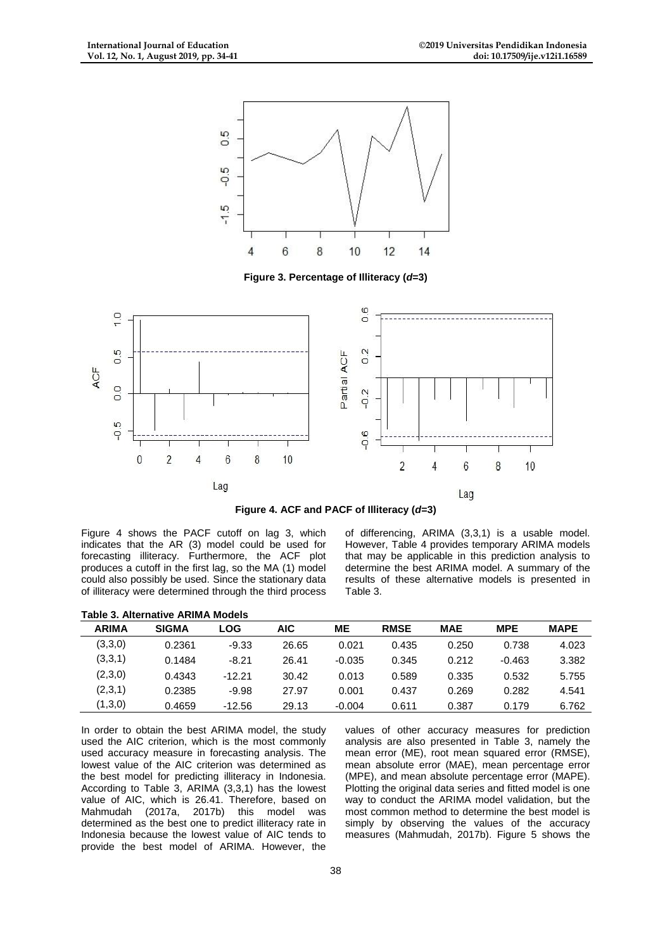

**Figure 3. Percentage of Illiteracy (***d***=3)**



**Figure 4. ACF and PACF of Illiteracy (***d***=3)**

Figure 4 shows the PACF cutoff on lag 3, which indicates that the AR (3) model could be used for forecasting illiteracy. Furthermore, the ACF plot produces a cutoff in the first lag, so the MA (1) model could also possibly be used. Since the stationary data of illiteracy were determined through the third process of differencing, ARIMA (3,3,1) is a usable model. However, Table 4 provides temporary ARIMA models that may be applicable in this prediction analysis to determine the best ARIMA model. A summary of the results of these alternative models is presented in Table 3.

|              | <b>Table 3. Alternative ARIMA Models</b> |          |       |          |             |            |            |             |
|--------------|------------------------------------------|----------|-------|----------|-------------|------------|------------|-------------|
| <b>ARIMA</b> | <b>SIGMA</b>                             | LOG      | AIC.  | ME       | <b>RMSE</b> | <b>MAE</b> | <b>MPE</b> | <b>MAPE</b> |
| (3,3,0)      | 0.2361                                   | $-9.33$  | 26.65 | 0.021    | 0.435       | 0.250      | 0.738      | 4.023       |
| (3,3,1)      | 0.1484                                   | $-8.21$  | 26.41 | $-0.035$ | 0.345       | 0.212      | $-0.463$   | 3.382       |
| (2,3,0)      | 0.4343                                   | $-12.21$ | 30.42 | 0.013    | 0.589       | 0.335      | 0.532      | 5.755       |
| (2,3,1)      | 0.2385                                   | $-9.98$  | 27.97 | 0.001    | 0.437       | 0.269      | 0.282      | 4.541       |
| (1,3,0)      | 0.4659                                   | $-12.56$ | 29.13 | $-0.004$ | 0.611       | 0.387      | 0.179      | 6.762       |

In order to obtain the best ARIMA model, the study used the AIC criterion, which is the most commonly used accuracy measure in forecasting analysis. The lowest value of the AIC criterion was determined as the best model for predicting illiteracy in Indonesia. According to Table 3, ARIMA (3,3,1) has the lowest value of AIC, which is 26.41. Therefore, based on Mahmudah (2017a, 2017b) this model was determined as the best one to predict illiteracy rate in Indonesia because the lowest value of AIC tends to provide the best model of ARIMA. However, the

values of other accuracy measures for prediction analysis are also presented in Table 3, namely the mean error (ME), root mean squared error (RMSE), mean absolute error (MAE), mean percentage error (MPE), and mean absolute percentage error (MAPE). Plotting the original data series and fitted model is one way to conduct the ARIMA model validation, but the most common method to determine the best model is simply by observing the values of the accuracy measures (Mahmudah, 2017b). Figure 5 shows the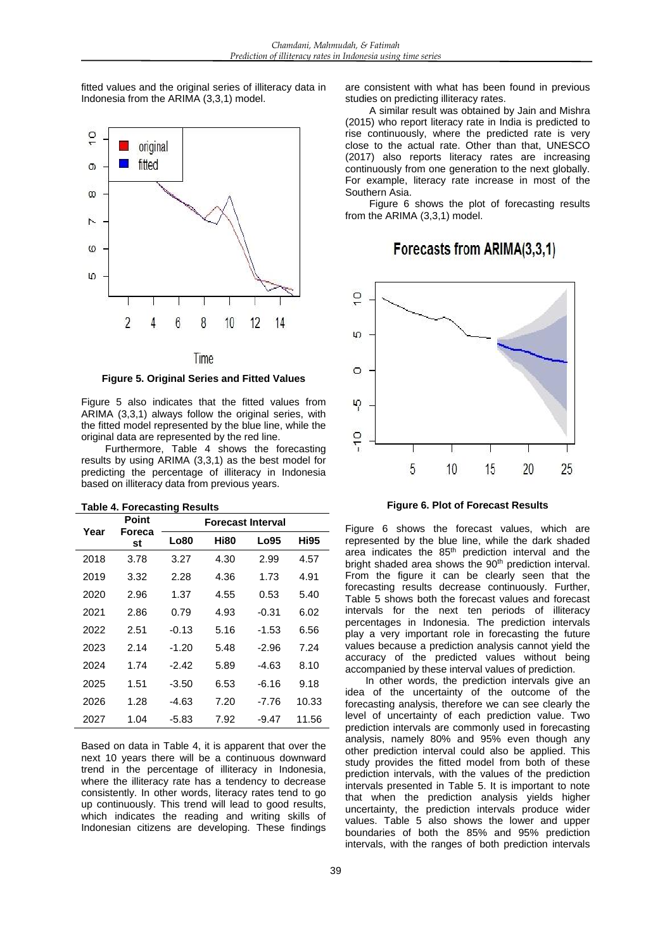fitted values and the original series of illiteracy data in Indonesia from the ARIMA (3,3,1) model.



#### Time

#### **Figure 5. Original Series and Fitted Values**

Figure 5 also indicates that the fitted values from ARIMA (3,3,1) always follow the original series, with the fitted model represented by the blue line, while the original data are represented by the red line.

Furthermore, Table 4 shows the forecasting results by using ARIMA (3,3,1) as the best model for predicting the percentage of illiteracy in Indonesia based on illiteracy data from previous years.

|  |  | <b>Table 4. Forecasting Results</b> |  |
|--|--|-------------------------------------|--|
|--|--|-------------------------------------|--|

| Year | Point<br>Foreca<br>st | <b>Forecast Interval</b> |             |         |             |  |  |
|------|-----------------------|--------------------------|-------------|---------|-------------|--|--|
|      |                       | <b>Lo80</b>              | <b>Hi80</b> | Log5    | <b>Hi95</b> |  |  |
| 2018 | 3.78                  | 3.27                     | 4.30        | 2.99    | 4.57        |  |  |
| 2019 | 3.32                  | 2.28                     | 4.36        | 1.73    | 4.91        |  |  |
| 2020 | 2.96                  | 1.37                     | 4.55        | 0.53    | 5.40        |  |  |
| 2021 | 2.86                  | 0.79                     | 4.93        | $-0.31$ | 6.02        |  |  |
| 2022 | 2.51                  | $-0.13$                  | 5.16        | -1.53   | 6.56        |  |  |
| 2023 | 2.14                  | $-1.20$                  | 5.48        | $-2.96$ | 7.24        |  |  |
| 2024 | 1.74                  | -2.42                    | 5.89        | -4.63   | 8.10        |  |  |
| 2025 | 1.51                  | $-3.50$                  | 6.53        | -6.16   | 9.18        |  |  |
| 2026 | 1.28                  | -4.63                    | 7.20        | -7.76   | 10.33       |  |  |
| 2027 | 1.04                  | -5.83                    | 7.92        | $-9.47$ | 11.56       |  |  |

Based on data in Table 4, it is apparent that over the next 10 years there will be a continuous downward trend in the percentage of illiteracy in Indonesia, where the illiteracy rate has a tendency to decrease consistently. In other words, literacy rates tend to go up continuously. This trend will lead to good results, which indicates the reading and writing skills of Indonesian citizens are developing. These findings are consistent with what has been found in previous studies on predicting illiteracy rates.

A similar result was obtained by Jain and Mishra (2015) who report literacy rate in India is predicted to rise continuously, where the predicted rate is very close to the actual rate. Other than that, UNESCO (2017) also reports literacy rates are increasing continuously from one generation to the next globally. For example, literacy rate increase in most of the Southern Asia.

Figure 6 shows the plot of forecasting results from the ARIMA (3,3,1) model.



## Forecasts from ARIMA(3,3,1)

**Figure 6. Plot of Forecast Results**

Figure 6 shows the forecast values, which are represented by the blue line, while the dark shaded area indicates the 85<sup>th</sup> prediction interval and the bright shaded area shows the 90<sup>th</sup> prediction interval. From the figure it can be clearly seen that the forecasting results decrease continuously. Further, Table 5 shows both the forecast values and forecast intervals for the next ten periods of illiteracy percentages in Indonesia. The prediction intervals play a very important role in forecasting the future values because a prediction analysis cannot yield the accuracy of the predicted values without being accompanied by these interval values of prediction.

In other words, the prediction intervals give an idea of the uncertainty of the outcome of the forecasting analysis, therefore we can see clearly the level of uncertainty of each prediction value. Two prediction intervals are commonly used in forecasting analysis, namely 80% and 95% even though any other prediction interval could also be applied. This study provides the fitted model from both of these prediction intervals, with the values of the prediction intervals presented in Table 5. It is important to note that when the prediction analysis yields higher uncertainty, the prediction intervals produce wider values. Table 5 also shows the lower and upper boundaries of both the 85% and 95% prediction intervals, with the ranges of both prediction intervals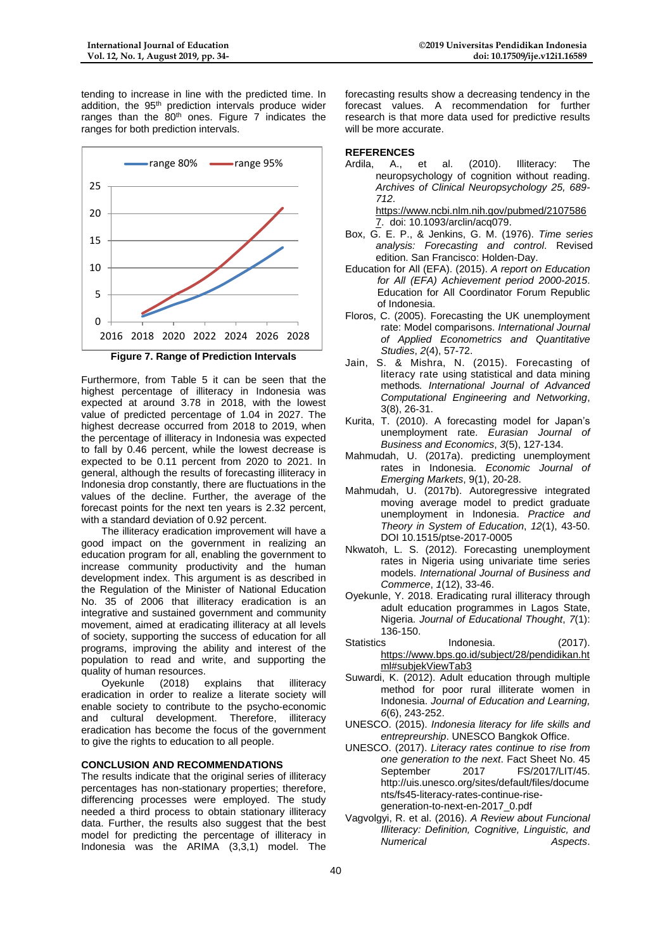tending to increase in line with the predicted time. In addition, the 95<sup>th</sup> prediction intervals produce wider ranges than the  $80<sup>th</sup>$  ones. Figure 7 indicates the ranges for both prediction intervals.



Furthermore, from Table 5 it can be seen that the highest percentage of illiteracy in Indonesia was expected at around 3.78 in 2018, with the lowest value of predicted percentage of 1.04 in 2027. The highest decrease occurred from 2018 to 2019, when the percentage of illiteracy in Indonesia was expected to fall by 0.46 percent, while the lowest decrease is expected to be 0.11 percent from 2020 to 2021. In general, although the results of forecasting illiteracy in Indonesia drop constantly, there are fluctuations in the values of the decline. Further, the average of the forecast points for the next ten years is 2.32 percent, with a standard deviation of 0.92 percent.

The illiteracy eradication improvement will have a good impact on the government in realizing an education program for all, enabling the government to increase community productivity and the human development index. This argument is as described in the Regulation of the Minister of National Education No. 35 of 2006 that illiteracy eradication is an integrative and sustained government and community movement, aimed at eradicating illiteracy at all levels of society, supporting the success of education for all programs, improving the ability and interest of the population to read and write, and supporting the quality of human resources.

Oyekunle (2018) explains that illiteracy eradication in order to realize a literate society will enable society to contribute to the psycho-economic and cultural development. Therefore, illiteracy eradication has become the focus of the government to give the rights to education to all people.

#### **CONCLUSION AND RECOMMENDATIONS**

The results indicate that the original series of illiteracy percentages has non-stationary properties; therefore, differencing processes were employed. The study needed a third process to obtain stationary illiteracy data. Further, the results also suggest that the best model for predicting the percentage of illiteracy in Indonesia was the ARIMA (3,3,1) model. The

forecasting results show a decreasing tendency in the forecast values. A recommendation for further research is that more data used for predictive results will be more accurate.

#### **REFERENCES**

Ardila, A., et al. (2010). Illiteracy: The neuropsychology of cognition without reading. *Archives of Clinical Neuropsychology 25, 689- 712*.

[https://www.ncbi.nlm.nih.gov/pubmed/2107586](https://www.ncbi.nlm.nih.gov/pubmed/21075867) [7.](https://www.ncbi.nlm.nih.gov/pubmed/21075867) doi: 10.1093/arclin/acq079.

- Box, G. E. P., & Jenkins, G. M. (1976). *Time series analysis: Forecasting and control*. Revised edition. San Francisco: Holden-Day.
- Education for All (EFA). (2015). *A report on Education for All (EFA) Achievement period 2000-2015*. Education for All Coordinator Forum Republic of Indonesia.
- Floros, C. (2005). Forecasting the UK unemployment rate: Model comparisons. *International Journal of Applied Econometrics and Quantitative Studies*, *2*(4), 57-72.
- Jain, S. & Mishra, N. (2015). Forecasting of literacy rate using statistical and data mining methods*. International Journal of Advanced Computational Engineering and Networking*, 3(8), 26-31.
- Kurita, T. (2010). A forecasting model for Japan's unemployment rate. *Eurasian Journal of Business and Economics*, *3*(5), 127-134.
- Mahmudah, U. (2017a). predicting unemployment rates in Indonesia. *Economic Journal of Emerging Markets*, 9(1), 20-28.
- Mahmudah, U. (2017b). Autoregressive integrated moving average model to predict graduate unemployment in Indonesia. *Practice and Theory in System of Education*, *12*(1), 43-50. DOI 10.1515/ptse-2017-0005
- Nkwatoh, L. S. (2012). Forecasting unemployment rates in Nigeria using univariate time series models. *International Journal of Business and Commerce*, *1*(12), 33-46.
- Oyekunle, Y. 2018. Eradicating rural illiteracy through adult education programmes in Lagos State, Nigeria. *Journal of Educational Thought*, *7*(1): 136-150.
- Statistics Indonesia. (2017). [https://www.bps.go.id/subject/28/pendidikan.ht](https://www.bps.go.id/subject/28/pendidikan.html#subjekViewTab3) [ml#subjekViewTab3](https://www.bps.go.id/subject/28/pendidikan.html#subjekViewTab3)
- Suwardi, K. (2012). Adult education through multiple method for poor rural illiterate women in Indonesia. *Journal of Education and Learning, 6*(6), 243-252.
- UNESCO. (2015). *Indonesia literacy for life skills and entrepreurship*. UNESCO Bangkok Office.
- UNESCO. (2017). *Literacy rates continue to rise from one generation to the next*. Fact Sheet No. 45 September 2017 FS/2017/LIT/45. http://uis.unesco.org/sites/default/files/docume nts/fs45-literacy-rates-continue-risegeneration-to-next-en-2017\_0.pdf
- Vagvolgyi, R. et al. (2016). *A Review about Funcional Illiteracy: Definition, Cognitive, Linguistic, and Numerical Aspects*.